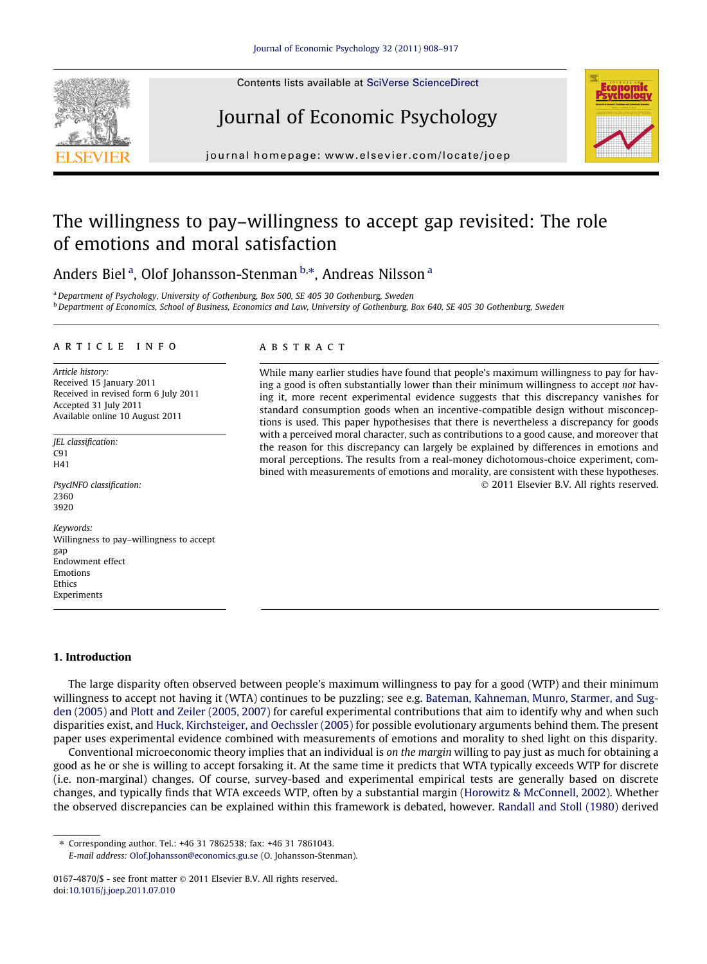Contents lists available at [SciVerse ScienceDirect](http://www.sciencedirect.com/science/journal/01674870)





journal homepage: [www.elsevier.com/locate/joep](http://www.elsevier.com/locate/joep)

# The willingness to pay–willingness to accept gap revisited: The role of emotions and moral satisfaction

Anders Biel<sup>a</sup>, Olof Johansson-Stenman <sup>b,\*</sup>, Andreas Nilsson <sup>a</sup>

<sup>a</sup> Department of Psychology, University of Gothenburg, Box 500, SE 405 30 Gothenburg, Sweden <sup>b</sup> Department of Economics, School of Business, Economics and Law, University of Gothenburg, Box 640, SE 405 30 Gothenburg, Sweden

#### article info

Article history: Received 15 January 2011 Received in revised form 6 July 2011 Accepted 31 July 2011 Available online 10 August 2011

JEL classification: C91 H41

PsycINFO classification: 2360 3920

Keywords: Willingness to pay–willingness to accept gap Endowment effect Emotions Ethics Experiments

# **ABSTRACT**

While many earlier studies have found that people's maximum willingness to pay for having a good is often substantially lower than their minimum willingness to accept not having it, more recent experimental evidence suggests that this discrepancy vanishes for standard consumption goods when an incentive-compatible design without misconceptions is used. This paper hypothesises that there is nevertheless a discrepancy for goods with a perceived moral character, such as contributions to a good cause, and moreover that the reason for this discrepancy can largely be explained by differences in emotions and moral perceptions. The results from a real-money dichotomous-choice experiment, combined with measurements of emotions and morality, are consistent with these hypotheses.  $© 2011 Elsevier B.V. All rights reserved.$ 

### 1. Introduction

The large disparity often observed between people's maximum willingness to pay for a good (WTP) and their minimum willingness to accept not having it (WTA) continues to be puzzling; see e.g. [Bateman, Kahneman, Munro, Starmer, and Sug](#page-9-0)[den \(2005\)](#page-9-0) and [Plott and Zeiler \(2005, 2007\)](#page-9-0) for careful experimental contributions that aim to identify why and when such disparities exist, and [Huck, Kirchsteiger, and Oechssler \(2005\)](#page-9-0) for possible evolutionary arguments behind them. The present paper uses experimental evidence combined with measurements of emotions and morality to shed light on this disparity.

Conventional microeconomic theory implies that an individual is on the margin willing to pay just as much for obtaining a good as he or she is willing to accept forsaking it. At the same time it predicts that WTA typically exceeds WTP for discrete (i.e. non-marginal) changes. Of course, survey-based and experimental empirical tests are generally based on discrete changes, and typically finds that WTA exceeds WTP, often by a substantial margin ([Horowitz & McConnell, 2002\)](#page-9-0). Whether the observed discrepancies can be explained within this framework is debated, however. [Randall and Stoll \(1980\)](#page-9-0) derived

⇑ Corresponding author. Tel.: +46 31 7862538; fax: +46 31 7861043. E-mail address: [Olof.Johansson@economics.gu.se](mailto:Olof.Johansson@economics.gu.se) (O. Johansson-Stenman).

<sup>0167-4870/\$ -</sup> see front matter @ 2011 Elsevier B.V. All rights reserved. doi[:10.1016/j.joep.2011.07.010](http://dx.doi.org/10.1016/j.joep.2011.07.010)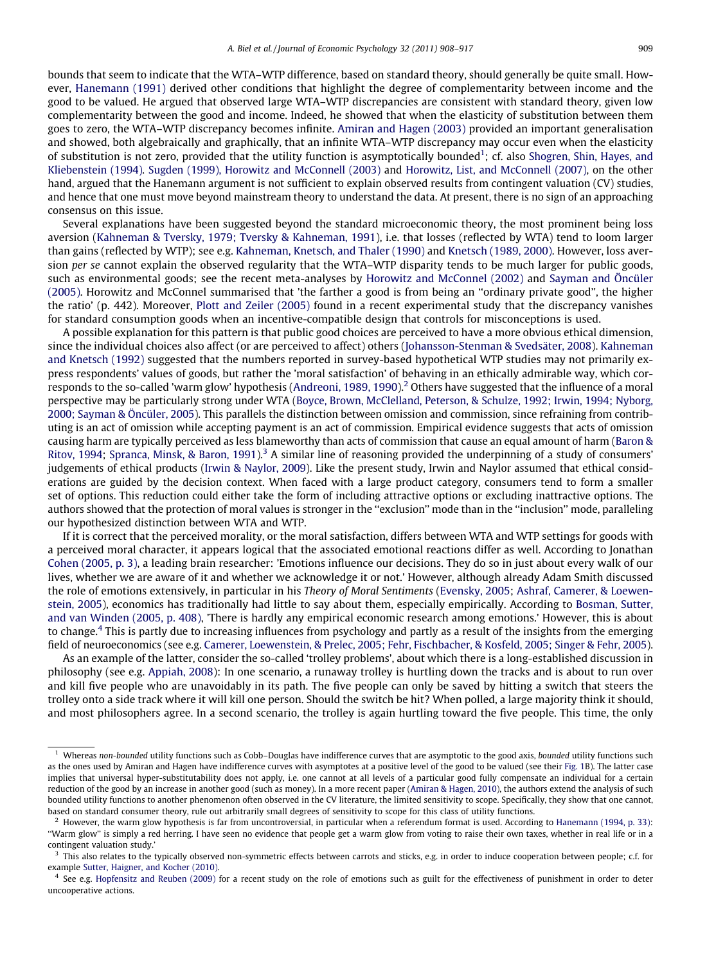bounds that seem to indicate that the WTA–WTP difference, based on standard theory, should generally be quite small. However, [Hanemann \(1991\)](#page-9-0) derived other conditions that highlight the degree of complementarity between income and the good to be valued. He argued that observed large WTA–WTP discrepancies are consistent with standard theory, given low complementarity between the good and income. Indeed, he showed that when the elasticity of substitution between them goes to zero, the WTA–WTP discrepancy becomes infinite. [Amiran and Hagen \(2003\)](#page-8-0) provided an important generalisation and showed, both algebraically and graphically, that an infinite WTA–WTP discrepancy may occur even when the elasticity of substitution is not zero, provided that the utility function is asymptotically bounded<sup>1</sup>; cf. also [Shogren, Shin, Hayes, and](#page-9-0) [Kliebenstein \(1994\).](#page-9-0) [Sugden \(1999\), Horowitz and McConnell \(2003\)](#page-9-0) and [Horowitz, List, and McConnell \(2007\),](#page-9-0) on the other hand, argued that the Hanemann argument is not sufficient to explain observed results from contingent valuation (CV) studies, and hence that one must move beyond mainstream theory to understand the data. At present, there is no sign of an approaching consensus on this issue.

Several explanations have been suggested beyond the standard microeconomic theory, the most prominent being loss aversion ([Kahneman & Tversky, 1979; Tversky & Kahneman, 1991\)](#page-9-0), i.e. that losses (reflected by WTA) tend to loom larger than gains (reflected by WTP); see e.g. [Kahneman, Knetsch, and Thaler \(1990\)](#page-9-0) and [Knetsch \(1989, 2000\)](#page-9-0). However, loss aversion per se cannot explain the observed regularity that the WTA–WTP disparity tends to be much larger for public goods, such as environmental goods; see the recent meta-analyses by [Horowitz and McConnel \(2002\)](#page-9-0) and [Sayman and Öncüler](#page-9-0) [\(2005\).](#page-9-0) Horowitz and McConnel summarised that 'the farther a good is from being an ''ordinary private good'', the higher the ratio' (p. 442). Moreover, [Plott and Zeiler \(2005\)](#page-9-0) found in a recent experimental study that the discrepancy vanishes for standard consumption goods when an incentive-compatible design that controls for misconceptions is used.

A possible explanation for this pattern is that public good choices are perceived to have a more obvious ethical dimension, since the individual choices also affect (or are perceived to affect) others [\(Johansson-Stenman & Svedsäter, 2008\)](#page-9-0). [Kahneman](#page-9-0) [and Knetsch \(1992\)](#page-9-0) suggested that the numbers reported in survey-based hypothetical WTP studies may not primarily express respondents' values of goods, but rather the 'moral satisfaction' of behaving in an ethically admirable way, which cor-responds to the so-called 'warm glow' hypothesis ([Andreoni, 1989, 1990](#page-8-0)).<sup>2</sup> Others have suggested that the influence of a moral perspective may be particularly strong under WTA [\(Boyce, Brown, McClelland, Peterson, & Schulze, 1992; Irwin, 1994; Nyborg,](#page-9-0) [2000; Sayman & Öncüler, 2005\)](#page-9-0). This parallels the distinction between omission and commission, since refraining from contributing is an act of omission while accepting payment is an act of commission. Empirical evidence suggests that acts of omission causing harm are typically perceived as less blameworthy than acts of commission that cause an equal amount of harm [\(Baron &](#page-9-0) [Ritov, 1994;](#page-9-0) [Spranca, Minsk, & Baron, 1991\)](#page-9-0). $3$  A similar line of reasoning provided the underpinning of a study of consumers' judgements of ethical products ([Irwin & Naylor, 2009\)](#page-9-0). Like the present study, Irwin and Naylor assumed that ethical considerations are guided by the decision context. When faced with a large product category, consumers tend to form a smaller set of options. This reduction could either take the form of including attractive options or excluding inattractive options. The authors showed that the protection of moral values is stronger in the ''exclusion'' mode than in the ''inclusion'' mode, paralleling our hypothesized distinction between WTA and WTP.

If it is correct that the perceived morality, or the moral satisfaction, differs between WTA and WTP settings for goods with a perceived moral character, it appears logical that the associated emotional reactions differ as well. According to Jonathan [Cohen \(2005, p. 3\),](#page-9-0) a leading brain researcher: 'Emotions influence our decisions. They do so in just about every walk of our lives, whether we are aware of it and whether we acknowledge it or not.' However, although already Adam Smith discussed the role of emotions extensively, in particular in his Theory of Moral Sentiments [\(Evensky, 2005;](#page-9-0) [Ashraf, Camerer, & Loewen](#page-9-0)[stein, 2005\)](#page-9-0), economics has traditionally had little to say about them, especially empirically. According to [Bosman, Sutter,](#page-9-0) [and van Winden \(2005, p. 408\),](#page-9-0) 'There is hardly any empirical economic research among emotions.' However, this is about to change.<sup>4</sup> This is partly due to increasing influences from psychology and partly as a result of the insights from the emerging field of neuroeconomics (see e.g. [Camerer, Loewenstein, & Prelec, 2005; Fehr, Fischbacher, & Kosfeld, 2005; Singer & Fehr, 2005](#page-9-0)).

As an example of the latter, consider the so-called 'trolley problems', about which there is a long-established discussion in philosophy (see e.g. [Appiah, 2008](#page-8-0)): In one scenario, a runaway trolley is hurtling down the tracks and is about to run over and kill five people who are unavoidably in its path. The five people can only be saved by hitting a switch that steers the trolley onto a side track where it will kill one person. Should the switch be hit? When polled, a large majority think it should, and most philosophers agree. In a second scenario, the trolley is again hurtling toward the five people. This time, the only

<sup>&</sup>lt;sup>1</sup> Whereas non-bounded utility functions such as Cobb–Douglas have indifference curves that are asymptotic to the good axis, bounded utility functions such as the ones used by Amiran and Hagen have indifference curves with asymptotes at a positive level of the good to be valued (see their [Fig. 1B](#page-2-0)). The latter case implies that universal hyper-substitutability does not apply, i.e. one cannot at all levels of a particular good fully compensate an individual for a certain reduction of the good by an increase in another good (such as money). In a more recent paper [\(Amiran & Hagen, 2010\)](#page-8-0), the authors extend the analysis of such bounded utility functions to another phenomenon often observed in the CV literature, the limited sensitivity to scope. Specifically, they show that one cannot, based on standard consumer theory, rule out arbitrarily small degrees of sensitivity to scope for this class of utility functions.

<sup>&</sup>lt;sup>2</sup> However, the warm glow hypothesis is far from uncontroversial, in particular when a referendum format is used. According to [Hanemann \(1994, p. 33\):](#page-9-0) ''Warm glow'' is simply a red herring. I have seen no evidence that people get a warm glow from voting to raise their own taxes, whether in real life or in a contingent valuation study.'

<sup>&</sup>lt;sup>3</sup> This also relates to the typically observed non-symmetric effects between carrots and sticks, e.g. in order to induce cooperation between people; c.f. for example [Sutter, Haigner, and Kocher \(2010\).](#page-9-0)

<sup>&</sup>lt;sup>4</sup> See e.g. [Hopfensitz and Reuben \(2009\)](#page-9-0) for a recent study on the role of emotions such as guilt for the effectiveness of punishment in order to deter uncooperative actions.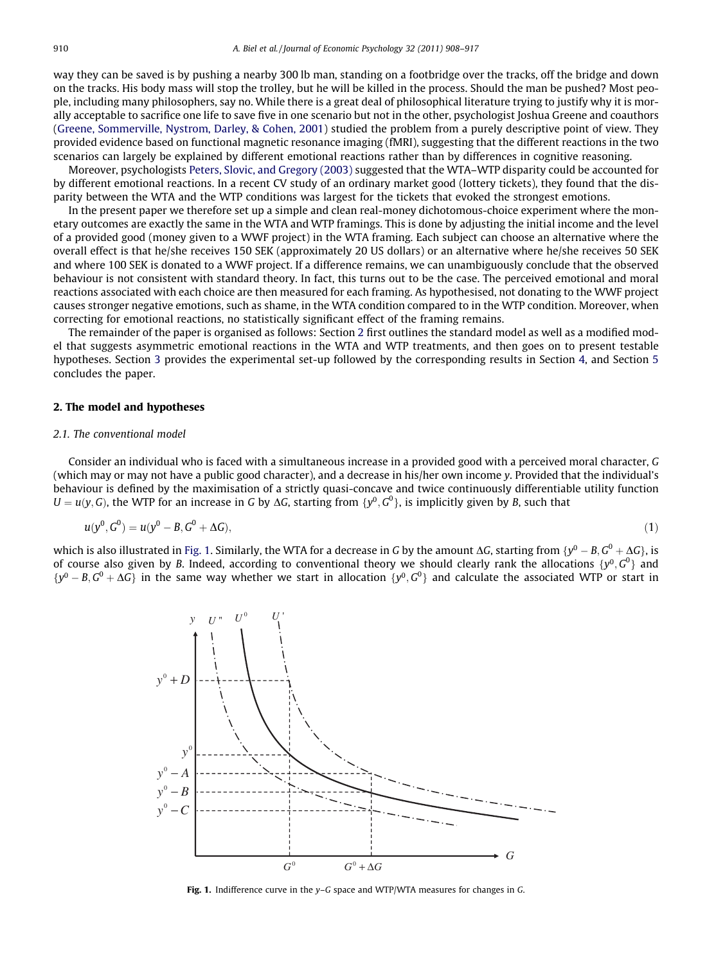<span id="page-2-0"></span>way they can be saved is by pushing a nearby 300 lb man, standing on a footbridge over the tracks, off the bridge and down on the tracks. His body mass will stop the trolley, but he will be killed in the process. Should the man be pushed? Most people, including many philosophers, say no. While there is a great deal of philosophical literature trying to justify why it is morally acceptable to sacrifice one life to save five in one scenario but not in the other, psychologist Joshua Greene and coauthors [\(Greene, Sommerville, Nystrom, Darley, & Cohen, 2001](#page-9-0)) studied the problem from a purely descriptive point of view. They provided evidence based on functional magnetic resonance imaging (fMRI), suggesting that the different reactions in the two scenarios can largely be explained by different emotional reactions rather than by differences in cognitive reasoning.

Moreover, psychologists [Peters, Slovic, and Gregory \(2003\)](#page-9-0) suggested that the WTA–WTP disparity could be accounted for by different emotional reactions. In a recent CV study of an ordinary market good (lottery tickets), they found that the disparity between the WTA and the WTP conditions was largest for the tickets that evoked the strongest emotions.

In the present paper we therefore set up a simple and clean real-money dichotomous-choice experiment where the monetary outcomes are exactly the same in the WTA and WTP framings. This is done by adjusting the initial income and the level of a provided good (money given to a WWF project) in the WTA framing. Each subject can choose an alternative where the overall effect is that he/she receives 150 SEK (approximately 20 US dollars) or an alternative where he/she receives 50 SEK and where 100 SEK is donated to a WWF project. If a difference remains, we can unambiguously conclude that the observed behaviour is not consistent with standard theory. In fact, this turns out to be the case. The perceived emotional and moral reactions associated with each choice are then measured for each framing. As hypothesised, not donating to the WWF project causes stronger negative emotions, such as shame, in the WTA condition compared to in the WTP condition. Moreover, when correcting for emotional reactions, no statistically significant effect of the framing remains.

The remainder of the paper is organised as follows: Section 2 first outlines the standard model as well as a modified model that suggests asymmetric emotional reactions in the WTA and WTP treatments, and then goes on to present testable hypotheses. Section 3 provides the experimental set-up followed by the corresponding results in Section 4, and Section 5 concludes the paper.

# 2. The model and hypotheses

# 2.1. The conventional model

Consider an individual who is faced with a simultaneous increase in a provided good with a perceived moral character, G (which may or may not have a public good character), and a decrease in his/her own income y. Provided that the individual's behaviour is defined by the maximisation of a strictly quasi-concave and twice continuously differentiable utility function  $U = u(y, G)$ , the WTP for an increase in G by  $\Delta G$ , starting from  $\{y^0, G^0\}$ , is implicitly given by B, such that

$$
u(y^0, G^0) = u(y^0 - B, G^0 + \Delta G), \tag{1}
$$

which is also illustrated in Fig. 1. Similarly, the WTA for a decrease in G by the amount  $\Delta G$ , starting from  $\{y^0 - B, G^0 + \Delta G\}$ , is of course also given by B. Indeed, according to conventional theory we should clearly rank the allocations  $\{y^0, G^0\}$  and  $\{y^0 - B, G^0 + \Delta G\}$  in the same way whether we start in allocation  $\{y^0, G^0\}$  and calculate the associated WTP or start in



Fig. 1. Indifference curve in the  $y$ –G space and WTP/WTA measures for changes in G.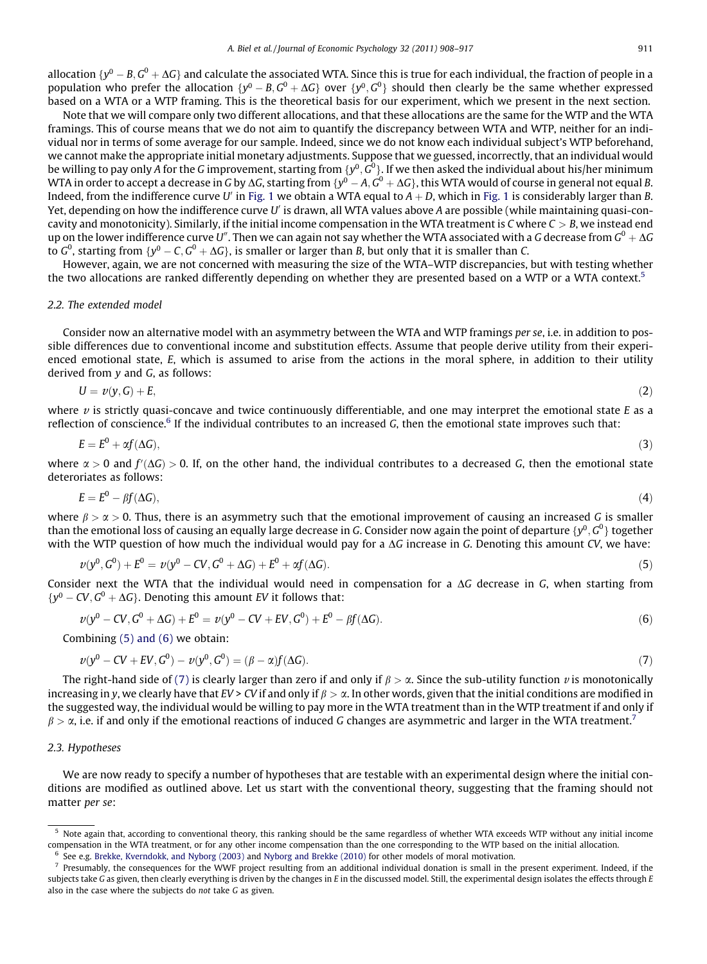<span id="page-3-0"></span>allocation  $\{y^0 - B\ G^0 + AG\}$  and calculate the associated WTA. Since this is true for each individual, the fraction of people in a population who prefer the allocation  $\{y^0 - B, G^0 + \Delta G\}$  over  $\{y^0, G^0\}$  should then clearly be the same whether expressed based on a WTA or a WTP framing. This is the theoretical basis for our experiment, which we present in the next section.

Note that we will compare only two different allocations, and that these allocations are the same for the WTP and the WTA framings. This of course means that we do not aim to quantify the discrepancy between WTA and WTP, neither for an individual nor in terms of some average for our sample. Indeed, since we do not know each individual subject's WTP beforehand, we cannot make the appropriate initial monetary adjustments. Suppose that we guessed, incorrectly, that an individual would be willing to pay only A for the G improvement, starting from  $\{y^0, G^0\}$ . If we then asked the individual about his/her minimum WTA in order to accept a decrease in G by  $\Delta G$ , starting from  $\{y^0 - A, G^0 + \Delta G\}$ , this WTA would of course in general not equal B. Indeed, from the indifference curve U' in [Fig. 1](#page-2-0) we obtain a WTA equal to  $A + D$ , which in Fig. 1 is considerably larger than B. Yet, depending on how the indifference curve  $U'$  is drawn, all WTA values above A are possible (while maintaining quasi-concavity and monotonicity). Similarly, if the initial income compensation in the WTA treatment is C where  $C > B$ , we instead end up on the lower indifference curve U". Then we can again not say whether the WTA associated with a G decrease from  $G^0 + \Delta G$ to  $G^0$ , starting from  $\{y^0 - C, G^0 + \Delta G\}$ , is smaller or larger than B, but only that it is smaller than C.

However, again, we are not concerned with measuring the size of the WTA–WTP discrepancies, but with testing whether the two allocations are ranked differently depending on whether they are presented based on a WTP or a WTA context.<sup>5</sup>

### 2.2. The extended model

Consider now an alternative model with an asymmetry between the WTA and WTP framings per se, i.e. in addition to possible differences due to conventional income and substitution effects. Assume that people derive utility from their experienced emotional state, E, which is assumed to arise from the actions in the moral sphere, in addition to their utility derived from  $y$  and  $G$ , as follows:

$$
U = v(y, G) + E, \tag{2}
$$

where  $v$  is strictly quasi-concave and twice continuously differentiable, and one may interpret the emotional state E as a reflection of conscience.<sup>6</sup> If the individual contributes to an increased G, then the emotional state improves such that:

$$
E = E^0 + \alpha f(\Delta G),\tag{3}
$$

where  $\alpha > 0$  and  $f'(\Delta G) > 0$ . If, on the other hand, the individual contributes to a decreased G, then the emotional state deteroriates as follows:

$$
E = E^0 - \beta f(\Delta G),\tag{4}
$$

where  $\beta > \alpha > 0$ . Thus, there is an asymmetry such that the emotional improvement of causing an increased G is smaller than the emotional loss of causing an equally large decrease in G. Consider now again the point of departure  $\{y^0, G^0\}$  together with the WTP question of how much the individual would pay for a  $\Delta G$  increase in G. Denoting this amount CV, we have:

$$
v(y^{0}, G^{0}) + E^{0} = v(y^{0} - CV, G^{0} + \Delta G) + E^{0} + \alpha f(\Delta G).
$$
\n(5)

Consider next the WTA that the individual would need in compensation for a  $\Delta G$  decrease in G, when starting from  $\{v^0 - CV, G^0 + \Delta G\}$ . Denoting this amount EV it follows that:

$$
v(y^{0} - CV, G^{0} + \Delta G) + E^{0} = v(y^{0} - CV + EV, G^{0}) + E^{0} - \beta f(\Delta G).
$$
\n(6)

Combining (5) and (6) we obtain:

$$
v(y^{0} - CV + EV, G^{0}) - v(y^{0}, G^{0}) = (\beta - \alpha)f(\Delta G).
$$
\n(7)

The right-hand side of (7) is clearly larger than zero if and only if  $\beta > \alpha$ . Since the sub-utility function v is monotonically increasing in y, we clearly have that  $EV > CV$  if and only if  $\beta > \alpha$ . In other words, given that the initial conditions are modified in the suggested way, the individual would be willing to pay more in the WTA treatment than in the WTP treatment if and only if  $\beta > \alpha$ , i.e. if and only if the emotional reactions of induced G changes are asymmetric and larger in the WTA treatment.<sup>7</sup>

#### 2.3. Hypotheses

We are now ready to specify a number of hypotheses that are testable with an experimental design where the initial conditions are modified as outlined above. Let us start with the conventional theory, suggesting that the framing should not matter per se:

<sup>&</sup>lt;sup>5</sup> Note again that, according to conventional theory, this ranking should be the same regardless of whether WTA exceeds WTP without any initial income compensation in the WTA treatment, or for any other income compensation than the one corresponding to the WTP based on the initial allocation. <sup>6</sup> See e.g. [Brekke, Kverndokk, and Nyborg \(2003\)](#page-9-0) and [Nyborg and Brekke \(2010\)](#page-9-0) for other models of moral motivation.

 $<sup>7</sup>$  Presumably, the consequences for the WWF project resulting from an additional individual donation is small in the present experiment. Indeed, if the</sup> subjects take G as given, then clearly everything is driven by the changes in E in the discussed model. Still, the experimental design isolates the effects through E also in the case where the subjects do not take G as given.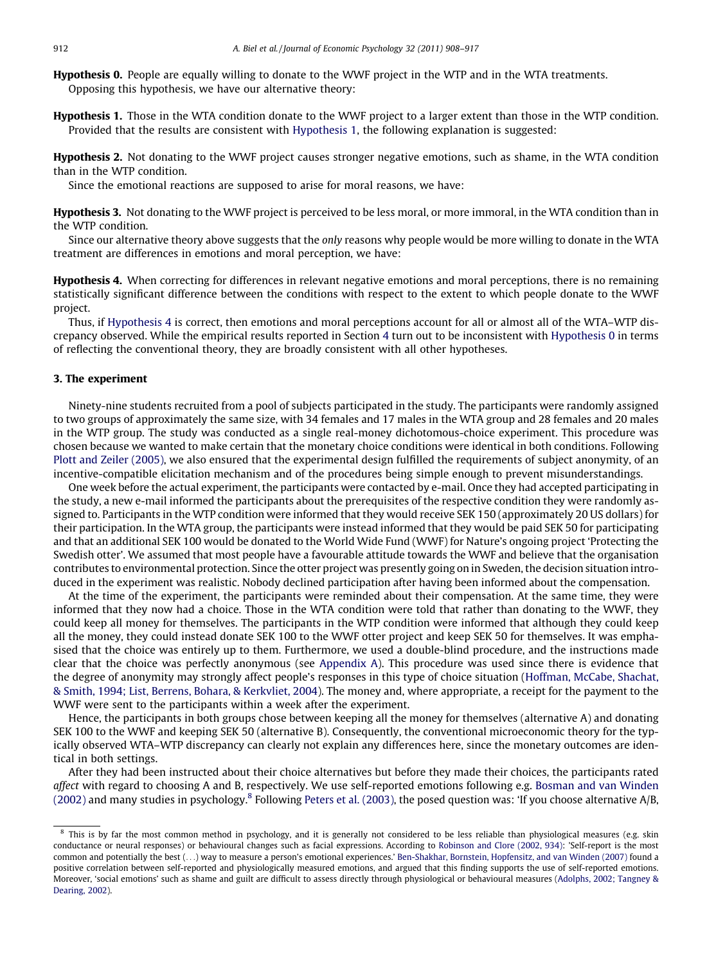<span id="page-4-0"></span>Hypothesis 0. People are equally willing to donate to the WWF project in the WTP and in the WTA treatments. Opposing this hypothesis, we have our alternative theory:

Hypothesis 1. Those in the WTA condition donate to the WWF project to a larger extent than those in the WTP condition. Provided that the results are consistent with Hypothesis 1, the following explanation is suggested:

Hypothesis 2. Not donating to the WWF project causes stronger negative emotions, such as shame, in the WTA condition than in the WTP condition.

Since the emotional reactions are supposed to arise for moral reasons, we have:

Hypothesis 3. Not donating to the WWF project is perceived to be less moral, or more immoral, in the WTA condition than in the WTP condition.

Since our alternative theory above suggests that the only reasons why people would be more willing to donate in the WTA treatment are differences in emotions and moral perception, we have:

Hypothesis 4. When correcting for differences in relevant negative emotions and moral perceptions, there is no remaining statistically significant difference between the conditions with respect to the extent to which people donate to the WWF project.

Thus, if Hypothesis 4 is correct, then emotions and moral perceptions account for all or almost all of the WTA–WTP discrepancy observed. While the empirical results reported in Section 4 turn out to be inconsistent with Hypothesis 0 in terms of reflecting the conventional theory, they are broadly consistent with all other hypotheses.

### 3. The experiment

Ninety-nine students recruited from a pool of subjects participated in the study. The participants were randomly assigned to two groups of approximately the same size, with 34 females and 17 males in the WTA group and 28 females and 20 males in the WTP group. The study was conducted as a single real-money dichotomous-choice experiment. This procedure was chosen because we wanted to make certain that the monetary choice conditions were identical in both conditions. Following [Plott and Zeiler \(2005\)](#page-9-0), we also ensured that the experimental design fulfilled the requirements of subject anonymity, of an incentive-compatible elicitation mechanism and of the procedures being simple enough to prevent misunderstandings.

One week before the actual experiment, the participants were contacted by e-mail. Once they had accepted participating in the study, a new e-mail informed the participants about the prerequisites of the respective condition they were randomly assigned to. Participants in the WTP condition were informed that they would receive SEK 150 (approximately 20 US dollars) for their participation. In the WTA group, the participants were instead informed that they would be paid SEK 50 for participating and that an additional SEK 100 would be donated to the World Wide Fund (WWF) for Nature's ongoing project 'Protecting the Swedish otter'. We assumed that most people have a favourable attitude towards the WWF and believe that the organisation contributes to environmental protection. Since the otter project was presently going on in Sweden, the decision situation introduced in the experiment was realistic. Nobody declined participation after having been informed about the compensation.

At the time of the experiment, the participants were reminded about their compensation. At the same time, they were informed that they now had a choice. Those in the WTA condition were told that rather than donating to the WWF, they could keep all money for themselves. The participants in the WTP condition were informed that although they could keep all the money, they could instead donate SEK 100 to the WWF otter project and keep SEK 50 for themselves. It was emphasised that the choice was entirely up to them. Furthermore, we used a double-blind procedure, and the instructions made clear that the choice was perfectly anonymous (see Appendix A). This procedure was used since there is evidence that the degree of anonymity may strongly affect people's responses in this type of choice situation ([Hoffman, McCabe, Shachat,](#page-9-0) [& Smith, 1994; List, Berrens, Bohara, & Kerkvliet, 2004\)](#page-9-0). The money and, where appropriate, a receipt for the payment to the WWF were sent to the participants within a week after the experiment.

Hence, the participants in both groups chose between keeping all the money for themselves (alternative A) and donating SEK 100 to the WWF and keeping SEK 50 (alternative B). Consequently, the conventional microeconomic theory for the typically observed WTA–WTP discrepancy can clearly not explain any differences here, since the monetary outcomes are identical in both settings.

After they had been instructed about their choice alternatives but before they made their choices, the participants rated affect with regard to choosing A and B, respectively. We use self-reported emotions following e.g. [Bosman and van Winden](#page-9-0)  $(2002)$  and many studies in psychology.<sup>8</sup> Following Peters et al.  $(2003)$ , the posed question was: 'If you choose alternative A/B,

<sup>&</sup>lt;sup>8</sup> This is by far the most common method in psychology, and it is generally not considered to be less reliable than physiological measures (e.g. skin conductance or neural responses) or behavioural changes such as facial expressions. According to [Robinson and Clore \(2002, 934\)](#page-9-0): 'Self-report is the most common and potentially the best (...) way to measure a person's emotional experiences.' [Ben-Shakhar, Bornstein, Hopfensitz, and van Winden \(2007\)](#page-9-0) found a positive correlation between self-reported and physiologically measured emotions, and argued that this finding supports the use of self-reported emotions. Moreover, 'social emotions' such as shame and guilt are difficult to assess directly through physiological or behavioural measures ([Adolphs, 2002; Tangney &](#page-8-0) [Dearing, 2002\)](#page-8-0).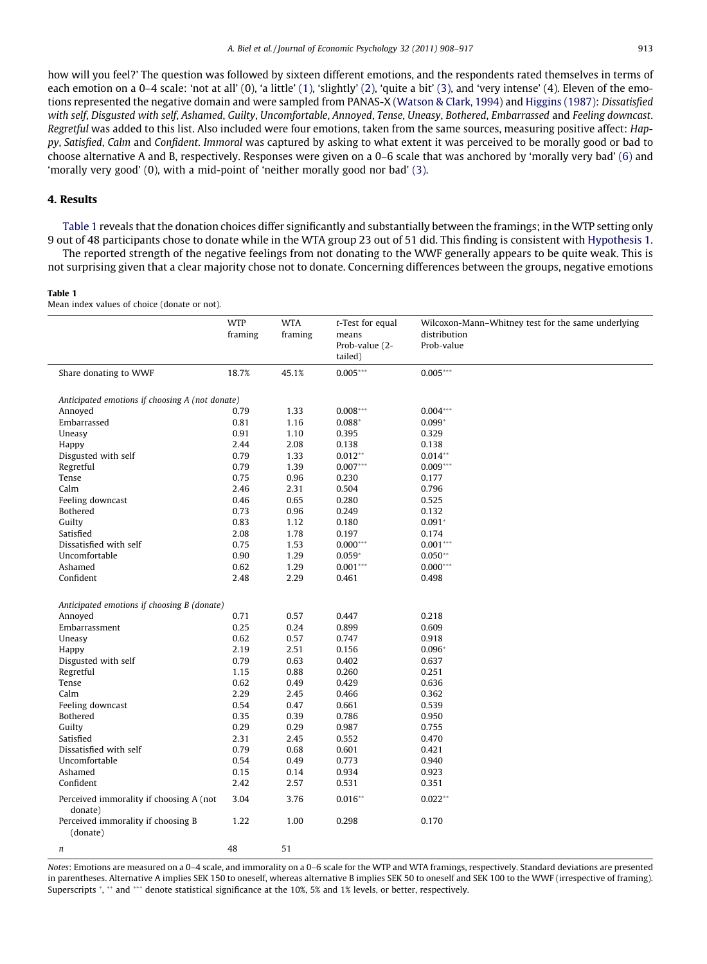how will you feel?' The question was followed by sixteen different emotions, and the respondents rated themselves in terms of each emotion on a 0–4 scale: 'not at all' (0), 'a little' [\(1\),](#page-2-0) 'slightly' [\(2\),](#page-3-0) 'quite a bit' [\(3\)](#page-3-0), and 'very intense' (4). Eleven of the emotions represented the negative domain and were sampled from PANAS-X ([Watson & Clark, 1994\)](#page-9-0) and [Higgins \(1987\):](#page-9-0) Dissatisfied with self, Disgusted with self, Ashamed, Guilty, Uncomfortable, Annoyed, Tense, Uneasy, Bothered, Embarrassed and Feeling downcast. Regretful was added to this list. Also included were four emotions, taken from the same sources, measuring positive affect: Happy, Satisfied, Calm and Confident. Immoral was captured by asking to what extent it was perceived to be morally good or bad to choose alternative A and B, respectively. Responses were given on a 0–6 scale that was anchored by 'morally very bad' [\(6\)](#page-3-0) and 'morally very good' (0), with a mid-point of 'neither morally good nor bad' [\(3\)](#page-3-0).

# 4. Results

Table 1 reveals that the donation choices differ significantly and substantially between the framings; in the WTP setting only 9 out of 48 participants chose to donate while in the WTA group 23 out of 51 did. This finding is consistent with [Hypothesis 1](#page-4-0).

The reported strength of the negative feelings from not donating to the WWF generally appears to be quite weak. This is not surprising given that a clear majority chose not to donate. Concerning differences between the groups, negative emotions

#### Table 1

Mean index values of choice (donate or not).

|                                                    | <b>WTP</b><br>framing | <b>WTA</b><br>framing | $t$ -Test for equal<br>means<br>Prob-value (2-<br>tailed) | Wilcoxon-Mann-Whitney test for the same underlying<br>distribution<br>Prob-value |
|----------------------------------------------------|-----------------------|-----------------------|-----------------------------------------------------------|----------------------------------------------------------------------------------|
| Share donating to WWF                              | 18.7%                 | 45.1%                 | $0.005***$                                                | $0.005***$                                                                       |
| Anticipated emotions if choosing A (not donate)    |                       |                       |                                                           |                                                                                  |
| Annoyed                                            | 0.79                  | 1.33                  | $0.008***$                                                | $0.004***$                                                                       |
| Embarrassed                                        | 0.81                  | 1.16                  | $0.088*$                                                  | $0.099*$                                                                         |
| Uneasy                                             | 0.91                  | 1.10                  | 0.395                                                     | 0.329                                                                            |
| Happy                                              | 2.44                  | 2.08                  | 0.138                                                     | 0.138                                                                            |
| Disgusted with self                                | 0.79                  | 1.33                  | $0.012**$                                                 | $0.014***$                                                                       |
|                                                    | 0.79                  | 1.39                  | $0.007***$                                                | $0.009***$                                                                       |
| Regretful                                          | 0.75                  |                       |                                                           |                                                                                  |
| Tense                                              |                       | 0.96                  | 0.230                                                     | 0.177                                                                            |
| Calm                                               | 2.46                  | 2.31                  | 0.504                                                     | 0.796                                                                            |
| Feeling downcast                                   | 0.46                  | 0.65                  | 0.280                                                     | 0.525                                                                            |
| Bothered                                           | 0.73                  | 0.96                  | 0.249                                                     | 0.132                                                                            |
| Guilty                                             | 0.83                  | 1.12                  | 0.180                                                     | $0.091*$                                                                         |
| Satisfied                                          | 2.08                  | 1.78                  | 0.197                                                     | 0.174                                                                            |
| Dissatisfied with self                             | 0.75                  | 1.53                  | $0.000***$                                                | $0.001***$                                                                       |
| Uncomfortable                                      | 0.90                  | 1.29                  | $0.059*$                                                  | $0.050**$                                                                        |
| Ashamed                                            | 0.62                  | 1.29                  | $0.001***$                                                | $0.000***$                                                                       |
| Confident                                          | 2.48                  | 2.29                  | 0.461                                                     | 0.498                                                                            |
|                                                    |                       |                       |                                                           |                                                                                  |
| Anticipated emotions if choosing B (donate)        |                       |                       |                                                           |                                                                                  |
| Annoyed                                            | 0.71                  | 0.57                  | 0.447                                                     | 0.218                                                                            |
| Embarrassment                                      | 0.25                  | 0.24                  | 0.899                                                     | 0.609                                                                            |
| Uneasy                                             | 0.62                  | 0.57                  | 0.747                                                     | 0.918                                                                            |
| Happy                                              | 2.19                  | 2.51                  | 0.156                                                     | $0.096*$                                                                         |
| Disgusted with self                                | 0.79                  | 0.63                  | 0.402                                                     | 0.637                                                                            |
| Regretful                                          | 1.15                  | 0.88                  | 0.260                                                     | 0.251                                                                            |
| Tense                                              | 0.62                  | 0.49                  | 0.429                                                     | 0.636                                                                            |
| Calm                                               | 2.29                  | 2.45                  | 0.466                                                     | 0.362                                                                            |
| Feeling downcast                                   | 0.54                  | 0.47                  | 0.661                                                     | 0.539                                                                            |
| Bothered                                           | 0.35                  | 0.39                  | 0.786                                                     | 0.950                                                                            |
| Guilty                                             | 0.29                  | 0.29                  | 0.987                                                     | 0.755                                                                            |
| Satisfied                                          | 2.31                  | 2.45                  | 0.552                                                     | 0.470                                                                            |
| Dissatisfied with self                             | 0.79                  | 0.68                  | 0.601                                                     | 0.421                                                                            |
| Uncomfortable                                      | 0.54                  | 0.49                  | 0.773                                                     | 0.940                                                                            |
| Ashamed                                            | 0.15                  | 0.14                  | 0.934                                                     | 0.923                                                                            |
| Confident                                          | 2.42                  | 2.57                  | 0.531                                                     | 0.351                                                                            |
| Perceived immorality if choosing A (not<br>donate) | 3.04                  | 3.76                  | $0.016***$                                                | $0.022**$                                                                        |
| Perceived immorality if choosing B<br>(donate)     | 1.22                  | 1.00                  | 0.298                                                     | 0.170                                                                            |
| n                                                  | 48                    | 51                    |                                                           |                                                                                  |

Notes: Emotions are measured on a 0–4 scale, and immorality on a 0–6 scale for the WTP and WTA framings, respectively. Standard deviations are presented in parentheses. Alternative A implies SEK 150 to oneself, whereas alternative B implies SEK 50 to oneself and SEK 100 to the WWF (irrespective of framing). Superscripts \*, \*\* and \*\*\* denote statistical significance at the 10%, 5% and 1% levels, or better, respectively.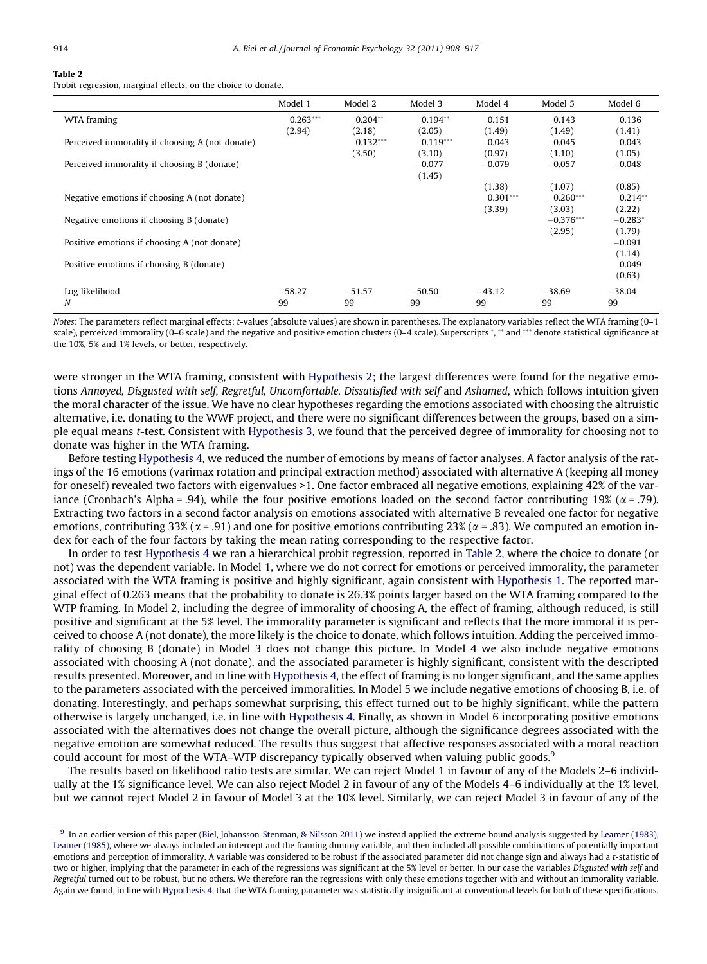# Table 2

Probit regression, marginal effects, on the choice to donate.

|                                                 | Model 1    | Model 2    | Model 3    | Model 4    | Model 5     | Model 6   |
|-------------------------------------------------|------------|------------|------------|------------|-------------|-----------|
| WTA framing                                     | $0.263***$ | $0.204**$  | $0.194**$  | 0.151      | 0.143       | 0.136     |
|                                                 | (2.94)     | (2.18)     | (2.05)     | (1.49)     | (1.49)      | (1.41)    |
| Perceived immorality if choosing A (not donate) |            | $0.132***$ | $0.119***$ | 0.043      | 0.045       | 0.043     |
|                                                 |            | (3.50)     | (3.10)     | (0.97)     | (1.10)      | (1.05)    |
| Perceived immorality if choosing B (donate)     |            |            | $-0.077$   | $-0.079$   | $-0.057$    | $-0.048$  |
|                                                 |            |            | (1.45)     |            |             |           |
|                                                 |            |            |            | (1.38)     | (1.07)      | (0.85)    |
| Negative emotions if choosing A (not donate)    |            |            |            | $0.301***$ | $0.260***$  | $0.214**$ |
|                                                 |            |            |            | (3.39)     | (3.03)      | (2.22)    |
| Negative emotions if choosing B (donate)        |            |            |            |            | $-0.376***$ | $-0.283*$ |
|                                                 |            |            |            |            | (2.95)      | (1.79)    |
| Positive emotions if choosing A (not donate)    |            |            |            |            |             | $-0.091$  |
|                                                 |            |            |            |            |             | (1.14)    |
| Positive emotions if choosing B (donate)        |            |            |            |            |             | 0.049     |
|                                                 |            |            |            |            |             | (0.63)    |
| Log likelihood                                  | $-58.27$   | $-51.57$   | $-50.50$   | $-43.12$   | $-38.69$    | $-38.04$  |
| N                                               | 99         | 99         | 99         | 99         | 99          | 99        |

Notes: The parameters reflect marginal effects; t-values (absolute values) are shown in parentheses. The explanatory variables reflect the WTA framing (0-1 scale), perceived immorality (0–6 scale) and the negative and positive emotion clusters (0–4 scale). Superscripts \*, \*\* and \*\*\* denote statistical significance at the 10%, 5% and 1% levels, or better, respectively.

were stronger in the WTA framing, consistent with [Hypothesis 2;](#page-4-0) the largest differences were found for the negative emotions Annoyed, Disgusted with self, Regretful, Uncomfortable, Dissatisfied with self and Ashamed, which follows intuition given the moral character of the issue. We have no clear hypotheses regarding the emotions associated with choosing the altruistic alternative, i.e. donating to the WWF project, and there were no significant differences between the groups, based on a simple equal means t-test. Consistent with [Hypothesis 3,](#page-4-0) we found that the perceived degree of immorality for choosing not to donate was higher in the WTA framing.

Before testing [Hypothesis 4,](#page-4-0) we reduced the number of emotions by means of factor analyses. A factor analysis of the ratings of the 16 emotions (varimax rotation and principal extraction method) associated with alternative A (keeping all money for oneself) revealed two factors with eigenvalues >1. One factor embraced all negative emotions, explaining 42% of the variance (Cronbach's Alpha = .94), while the four positive emotions loaded on the second factor contributing 19% ( $\alpha$  = .79). Extracting two factors in a second factor analysis on emotions associated with alternative B revealed one factor for negative emotions, contributing 33% ( $\alpha$  = .91) and one for positive emotions contributing 23% ( $\alpha$  = .83). We computed an emotion index for each of the four factors by taking the mean rating corresponding to the respective factor.

In order to test [Hypothesis 4](#page-4-0) we ran a hierarchical probit regression, reported in Table 2, where the choice to donate (or not) was the dependent variable. In Model 1, where we do not correct for emotions or perceived immorality, the parameter associated with the WTA framing is positive and highly significant, again consistent with [Hypothesis 1.](#page-4-0) The reported marginal effect of 0.263 means that the probability to donate is 26.3% points larger based on the WTA framing compared to the WTP framing. In Model 2, including the degree of immorality of choosing A, the effect of framing, although reduced, is still positive and significant at the 5% level. The immorality parameter is significant and reflects that the more immoral it is perceived to choose A (not donate), the more likely is the choice to donate, which follows intuition. Adding the perceived immorality of choosing B (donate) in Model 3 does not change this picture. In Model 4 we also include negative emotions associated with choosing A (not donate), and the associated parameter is highly significant, consistent with the descripted results presented. Moreover, and in line with [Hypothesis 4](#page-4-0), the effect of framing is no longer significant, and the same applies to the parameters associated with the perceived immoralities. In Model 5 we include negative emotions of choosing B, i.e. of donating. Interestingly, and perhaps somewhat surprising, this effect turned out to be highly significant, while the pattern otherwise is largely unchanged, i.e. in line with [Hypothesis 4.](#page-4-0) Finally, as shown in Model 6 incorporating positive emotions associated with the alternatives does not change the overall picture, although the significance degrees associated with the negative emotion are somewhat reduced. The results thus suggest that affective responses associated with a moral reaction could account for most of the WTA–WTP discrepancy typically observed when valuing public goods.<sup>9</sup>

The results based on likelihood ratio tests are similar. We can reject Model 1 in favour of any of the Models 2–6 individually at the 1% significance level. We can also reject Model 2 in favour of any of the Models 4–6 individually at the 1% level, but we cannot reject Model 2 in favour of Model 3 at the 10% level. Similarly, we can reject Model 3 in favour of any of the

<sup>&</sup>lt;sup>9</sup> In an earlier version of this paper ([Biel, Johansson-Stenman, & Nilsson 2011\)](#page-9-0) we instead applied the extreme bound analysis suggested by [Leamer \(1983\),](#page-9-0) [Leamer \(1985\)](#page-9-0), where we always included an intercept and the framing dummy variable, and then included all possible combinations of potentially important emotions and perception of immorality. A variable was considered to be robust if the associated parameter did not change sign and always had a t-statistic of two or higher, implying that the parameter in each of the regressions was significant at the 5% level or better. In our case the variables Disgusted with self and Regretful turned out to be robust, but no others. We therefore ran the regressions with only these emotions together with and without an immorality variable. Again we found, in line with [Hypothesis 4,](#page-4-0) that the WTA framing parameter was statistically insignificant at conventional levels for both of these specifications.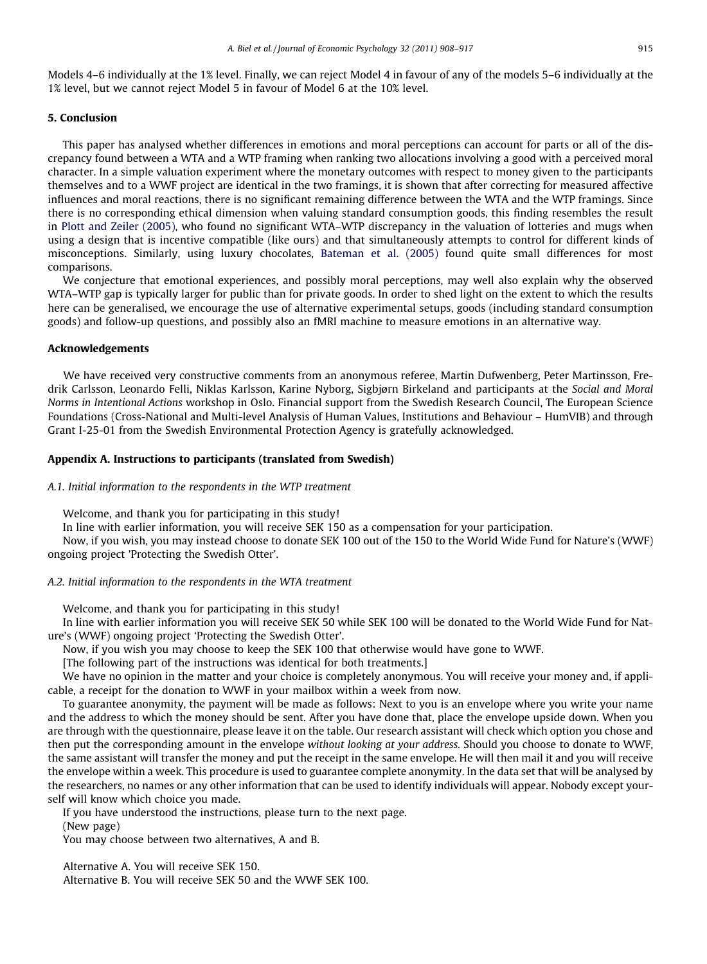Models 4–6 individually at the 1% level. Finally, we can reject Model 4 in favour of any of the models 5–6 individually at the 1% level, but we cannot reject Model 5 in favour of Model 6 at the 10% level.

# 5. Conclusion

This paper has analysed whether differences in emotions and moral perceptions can account for parts or all of the discrepancy found between a WTA and a WTP framing when ranking two allocations involving a good with a perceived moral character. In a simple valuation experiment where the monetary outcomes with respect to money given to the participants themselves and to a WWF project are identical in the two framings, it is shown that after correcting for measured affective influences and moral reactions, there is no significant remaining difference between the WTA and the WTP framings. Since there is no corresponding ethical dimension when valuing standard consumption goods, this finding resembles the result in [Plott and Zeiler \(2005\),](#page-9-0) who found no significant WTA–WTP discrepancy in the valuation of lotteries and mugs when using a design that is incentive compatible (like ours) and that simultaneously attempts to control for different kinds of misconceptions. Similarly, using luxury chocolates, [Bateman et al. \(2005\)](#page-9-0) found quite small differences for most comparisons.

We conjecture that emotional experiences, and possibly moral perceptions, may well also explain why the observed WTA–WTP gap is typically larger for public than for private goods. In order to shed light on the extent to which the results here can be generalised, we encourage the use of alternative experimental setups, goods (including standard consumption goods) and follow-up questions, and possibly also an fMRI machine to measure emotions in an alternative way.

#### Acknowledgements

We have received very constructive comments from an anonymous referee, Martin Dufwenberg, Peter Martinsson, Fredrik Carlsson, Leonardo Felli, Niklas Karlsson, Karine Nyborg, Sigbjørn Birkeland and participants at the Social and Moral Norms in Intentional Actions workshop in Oslo. Financial support from the Swedish Research Council, The European Science Foundations (Cross-National and Multi-level Analysis of Human Values, Institutions and Behaviour – HumVIB) and through Grant I-25-01 from the Swedish Environmental Protection Agency is gratefully acknowledged.

#### Appendix A. Instructions to participants (translated from Swedish)

#### A.1. Initial information to the respondents in the WTP treatment

Welcome, and thank you for participating in this study!

In line with earlier information, you will receive SEK 150 as a compensation for your participation.

Now, if you wish, you may instead choose to donate SEK 100 out of the 150 to the World Wide Fund for Nature's (WWF) ongoing project 'Protecting the Swedish Otter'.

# A.2. Initial information to the respondents in the WTA treatment

Welcome, and thank you for participating in this study!

In line with earlier information you will receive SEK 50 while SEK 100 will be donated to the World Wide Fund for Nature's (WWF) ongoing project 'Protecting the Swedish Otter'.

Now, if you wish you may choose to keep the SEK 100 that otherwise would have gone to WWF.

[The following part of the instructions was identical for both treatments.]

We have no opinion in the matter and your choice is completely anonymous. You will receive your money and, if applicable, a receipt for the donation to WWF in your mailbox within a week from now.

To guarantee anonymity, the payment will be made as follows: Next to you is an envelope where you write your name and the address to which the money should be sent. After you have done that, place the envelope upside down. When you are through with the questionnaire, please leave it on the table. Our research assistant will check which option you chose and then put the corresponding amount in the envelope without looking at your address. Should you choose to donate to WWF, the same assistant will transfer the money and put the receipt in the same envelope. He will then mail it and you will receive the envelope within a week. This procedure is used to guarantee complete anonymity. In the data set that will be analysed by the researchers, no names or any other information that can be used to identify individuals will appear. Nobody except yourself will know which choice you made.

If you have understood the instructions, please turn to the next page.

(New page)

You may choose between two alternatives, A and B.

Alternative A. You will receive SEK 150. Alternative B. You will receive SEK 50 and the WWF SEK 100.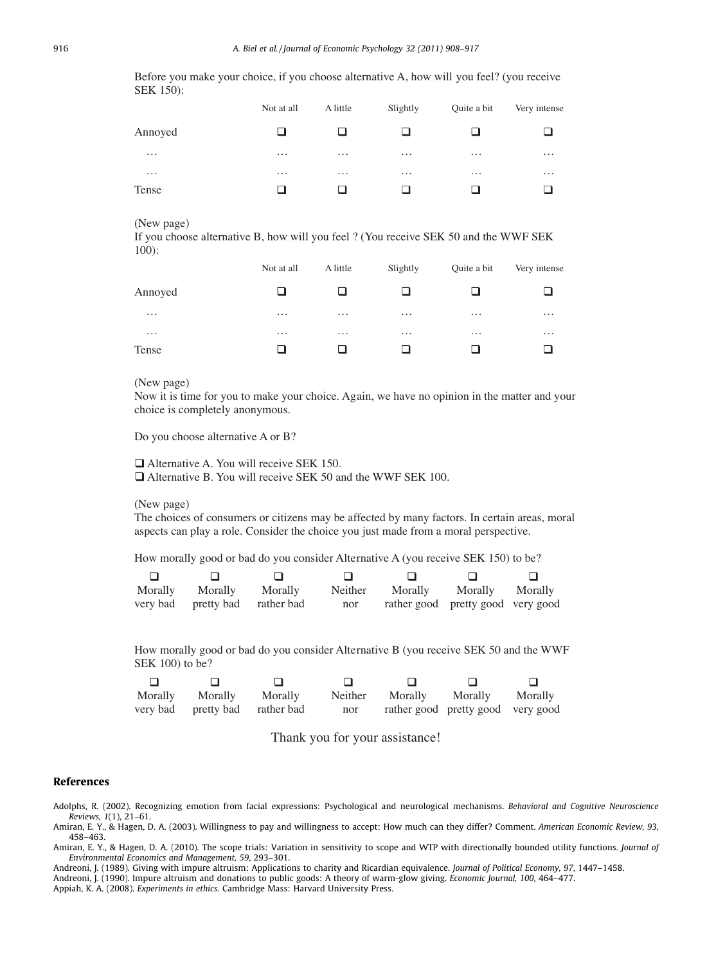|          | Not at all | A little | Slightly | Quite a bit | Very intense |
|----------|------------|----------|----------|-------------|--------------|
| Annoyed  |            |          |          |             |              |
| $\cdots$ | $\cdots$   | $\cdots$ | $\cdots$ | $\cdots$    | $\cdots$     |
| $\cdots$ | $\cdots$   | $\cdots$ | $\cdots$ | $\cdots$    | $\cdots$     |
| Tense    |            |          |          |             |              |

<span id="page-8-0"></span>Before you make your choice, if you choose alternative A, how will you feel? (you receive SEK 150):

#### (New page)

If you choose alternative B, how will you feel ? (You receive SEK 50 and the WWF SEK 100):

|          | Not at all | A little | Slightly | Quite a bit | Very intense |
|----------|------------|----------|----------|-------------|--------------|
| Annoyed  |            |          |          |             |              |
| $\cdots$ | $\cdots$   | $\cdots$ | $\cdots$ | $\cdots$    | $\cdots$     |
| $\cdots$ | $\cdots$   | $\cdots$ | $\cdots$ | $\cdots$    | $\cdots$     |
| Tense    |            |          |          |             |              |

## (New page)

Now it is time for you to make your choice. Again, we have no opinion in the matter and your choice is completely anonymous.

Do you choose alternative A or B?

 Alternative A. You will receive SEK 150. Alternative B. You will receive SEK 50 and the WWF SEK 100.

(New page)

The choices of consumers or citizens may be affected by many factors. In certain areas, moral aspects can play a role. Consider the choice you just made from a moral perspective.

How morally good or bad do you consider Alternative A (you receive SEK 150) to be?

| - 0 |                                | $\blacksquare$ | $\blacksquare$                    |                         | $\Box$ |
|-----|--------------------------------|----------------|-----------------------------------|-------------------------|--------|
|     | Morally Morally Morally        | Neither        |                                   | Morally Morally Morally |        |
|     | very bad pretty bad rather bad | nor            | rather good pretty good very good |                         |        |

How morally good or bad do you consider Alternative B (you receive SEK 50 and the WWF SEK 100) to be?

| Morally Morally Morally        |     | Neither Morally Morally Morally |                                   |  |
|--------------------------------|-----|---------------------------------|-----------------------------------|--|
| very bad pretty bad rather bad | nor |                                 | rather good pretty good very good |  |

Thank you for your assistance!

#### References

Adolphs, R. (2002). Recognizing emotion from facial expressions: Psychological and neurological mechanisms. Behavioral and Cognitive Neuroscience Reviews, 1(1), 21–61.

Amiran, E. Y., & Hagen, D. A. (2003). Willingness to pay and willingness to accept: How much can they differ? Comment. American Economic Review, 93, 458–463.

Amiran, E. Y., & Hagen, D. A. (2010). The scope trials: Variation in sensitivity to scope and WTP with directionally bounded utility functions. Journal of Environmental Economics and Management, 59, 293–301.

Andreoni, J. (1989). Giving with impure altruism: Applications to charity and Ricardian equivalence. Journal of Political Economy, 97, 1447–1458.

Andreoni, J. (1990). Impure altruism and donations to public goods: A theory of warm-glow giving. Economic Journal, 100, 464–477.

Appiah, K. A. (2008). Experiments in ethics. Cambridge Mass: Harvard University Press.